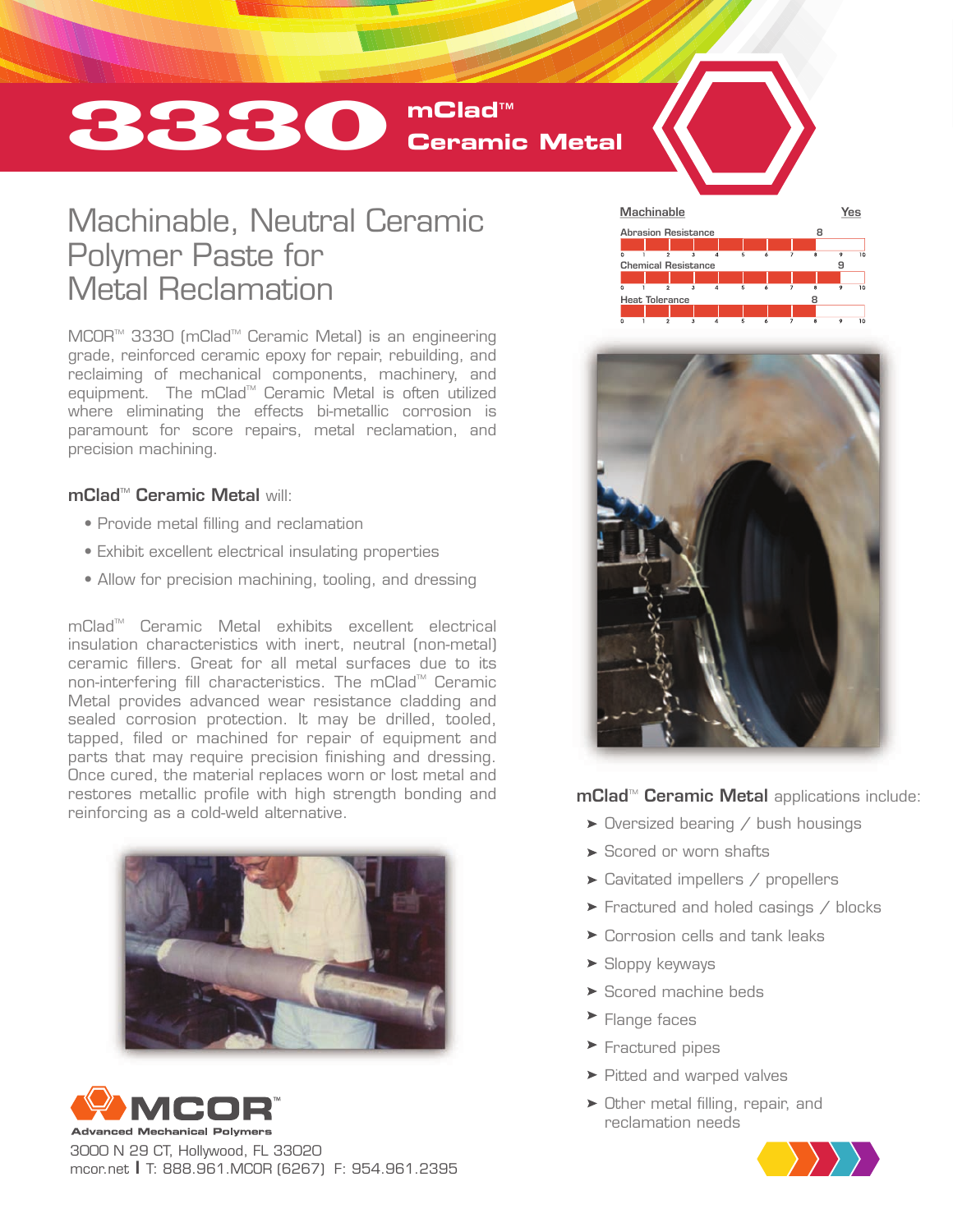# 3330 **mClad**™ **Ceramic Metal**

# Machinable, Neutral Ceramic Polymer Paste for Metal Reclamation

MCOR<sup>™</sup> 3330 (mClad<sup>™</sup> Ceramic Metal) is an engineering grade, reinforced ceramic epoxy for repair, rebuilding, and reclaiming of mechanical components, machinery, and equipment. The mClad™ Ceramic Metal is often utilized where eliminating the effects bi-metallic corrosion is paramount for score repairs, metal reclamation, and precision machining.

#### mClad™ Ceramic Metal will<sup>:</sup>

- Provide metal filling and reclamation
- Exhibit excellent electrical insulating properties
- Allow for precision machining, tooling, and dressing

mClad<sup>™</sup> Ceramic Metal exhibits excellent electrical insulation characteristics with inert, neutral (non-metal) ceramic fillers. Great for all metal surfaces due to its non-interfering fill characteristics. The mClad<sup>™</sup> Ceramic Metal provides advanced wear resistance cladding and sealed corrosion protection. It may be drilled, tooled, tapped, filed or machined for repair of equipment and parts that may require precision finishing and dressing. Once cured, the material replaces worn or lost metal and restores metallic profile with high strength bonding and reinforcing as a cold-weld alternative.





3000 N 29 CT, Hollywood, FL 33020 mcor.net I T: 888.961.MCOR (6267) F: 954.961.2395





mClad<sup>™</sup> Ceramic Metal applications include:

- $\blacktriangleright$  Oversized bearing / bush housings
- Scored or worn shafts
- Cavitated impellers / propellers
- **Fractured and holed casings / blocks**
- ▶ Corrosion cells and tank leaks
- $\blacktriangleright$  Sloppy keyways
- ▶ Scored machine beds
- **Flange faces**
- **Fractured pipes**
- ▶ Pitted and warped valves
- Other metal filling, repair, and reclamation needs